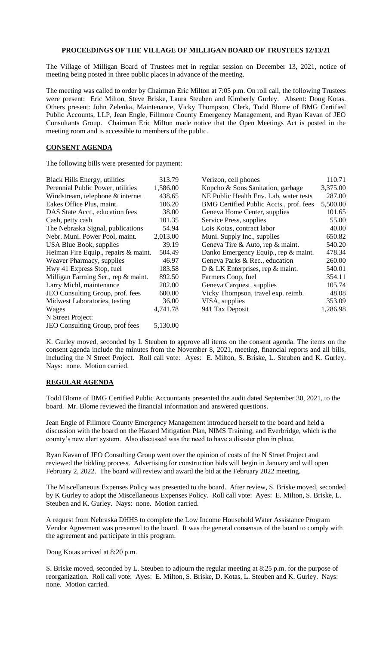## **PROCEEDINGS OF THE VILLAGE OF MILLIGAN BOARD OF TRUSTEES 12/13/21**

The Village of Milligan Board of Trustees met in regular session on December 13, 2021, notice of meeting being posted in three public places in advance of the meeting.

The meeting was called to order by Chairman Eric Milton at 7:05 p.m. On roll call, the following Trustees were present: Eric Milton, Steve Briske, Laura Steuben and Kimberly Gurley. Absent: Doug Kotas. Others present: John Zelenka, Maintenance, Vicky Thompson, Clerk, Todd Blome of BMG Certified Public Accounts, LLP, Jean Engle, Fillmore County Emergency Management, and Ryan Kavan of JEO Consultants Group. Chairman Eric Milton made notice that the Open Meetings Act is posted in the meeting room and is accessible to members of the public.

## **CONSENT AGENDA**

The following bills were presented for payment:

| <b>Black Hills Energy, utilities</b> | 313.79   | Verizon, cell phones                    | 110.71   |
|--------------------------------------|----------|-----------------------------------------|----------|
| Perennial Public Power, utilities    | 1,586.00 | Kopcho & Sons Sanitation, garbage       | 3,375.00 |
| Windstream, telephone & internet     | 438.65   | NE Public Health Env. Lab, water tests  | 287.00   |
| Eakes Office Plus, maint.            | 106.20   | BMG Certified Public Accts., prof. fees | 5,500.00 |
| DAS State Acct., education fees      | 38.00    | Geneva Home Center, supplies            | 101.65   |
| Cash, petty cash                     | 101.35   | Service Press, supplies                 | 55.00    |
| The Nebraska Signal, publications    | 54.94    | Lois Kotas, contract labor              | 40.00    |
| Nebr. Muni. Power Pool, maint.       | 2,013.00 | Muni. Supply Inc., supplies             | 650.82   |
| USA Blue Book, supplies              | 39.19    | Geneva Tire & Auto, rep & maint.        | 540.20   |
| Heiman Fire Equip., repairs & maint. | 504.49   | Danko Emergency Equip., rep & maint.    | 478.34   |
| Weaver Pharmacy, supplies            | 46.97    | Geneva Parks & Rec., education          | 260.00   |
| Hwy 41 Express Stop, fuel            | 183.58   | D & LK Enterprises, rep & maint.        | 540.01   |
| Milligan Farming Ser., rep & maint.  | 892.50   | Farmers Coop, fuel                      | 354.11   |
| Larry Michl, maintenance             | 202.00   | Geneva Carquest, supplies               | 105.74   |
| JEO Consulting Group, prof. fees     | 600.00   | Vicky Thompson, travel exp. reimb.      | 48.08    |
| Midwest Laboratories, testing        | 36.00    | VISA, supplies                          | 353.09   |
| Wages                                | 4,741.78 | 941 Tax Deposit                         | 1,286.98 |
| N Street Project:                    |          |                                         |          |
| JEO Consulting Group, prof fees      | 5,130.00 |                                         |          |

K. Gurley moved, seconded by L Steuben to approve all items on the consent agenda. The items on the consent agenda include the minutes from the November 8, 2021, meeting, financial reports and all bills, including the N Street Project. Roll call vote: Ayes: E. Milton, S. Briske, L. Steuben and K. Gurley. Nays: none. Motion carried.

## **REGULAR AGENDA**

Todd Blome of BMG Certified Public Accountants presented the audit dated September 30, 2021, to the board. Mr. Blome reviewed the financial information and answered questions.

Jean Engle of Fillmore County Emergency Management introduced herself to the board and held a discussion with the board on the Hazard Mitigation Plan, NIMS Training, and Everbridge, which is the county's new alert system. Also discussed was the need to have a disaster plan in place.

Ryan Kavan of JEO Consulting Group went over the opinion of costs of the N Street Project and reviewed the bidding process. Advertising for construction bids will begin in January and will open February 2, 2022. The board will review and award the bid at the February 2022 meeting.

The Miscellaneous Expenses Policy was presented to the board. After review, S. Briske moved, seconded by K Gurley to adopt the Miscellaneous Expenses Policy. Roll call vote: Ayes: E. Milton, S. Briske, L. Steuben and K. Gurley. Nays: none. Motion carried.

A request from Nebraska DHHS to complete the Low Income Household Water Assistance Program Vendor Agreement was presented to the board. It was the general consensus of the board to comply with the agreement and participate in this program.

Doug Kotas arrived at 8:20 p.m.

S. Briske moved, seconded by L. Steuben to adjourn the regular meeting at 8:25 p.m. for the purpose of reorganization. Roll call vote: Ayes: E. Milton, S. Briske, D. Kotas, L. Steuben and K. Gurley. Nays: none. Motion carried.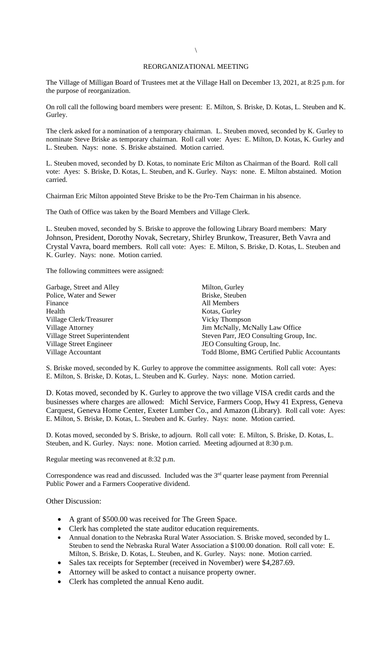## REORGANIZATIONAL MEETING

The Village of Milligan Board of Trustees met at the Village Hall on December 13, 2021, at 8:25 p.m. for the purpose of reorganization.

On roll call the following board members were present: E. Milton, S. Briske, D. Kotas, L. Steuben and K. Gurley.

The clerk asked for a nomination of a temporary chairman. L. Steuben moved, seconded by K. Gurley to nominate Steve Briske as temporary chairman. Roll call vote: Ayes: E. Milton, D. Kotas, K. Gurley and L. Steuben. Nays: none. S. Briske abstained. Motion carried.

L. Steuben moved, seconded by D. Kotas, to nominate Eric Milton as Chairman of the Board. Roll call vote: Ayes: S. Briske, D. Kotas, L. Steuben, and K. Gurley. Nays: none. E. Milton abstained. Motion carried.

Chairman Eric Milton appointed Steve Briske to be the Pro-Tem Chairman in his absence.

The Oath of Office was taken by the Board Members and Village Clerk.

L. Steuben moved, seconded by S. Briske to approve the following Library Board members: Mary Johnson, President, Dorothy Novak, Secretary, Shirley Brunkow, Treasurer, Beth Vavra and Crystal Vavra, board members. Roll call vote: Ayes: E. Milton, S. Briske, D. Kotas, L. Steuben and K. Gurley. Nays: none. Motion carried.

The following committees were assigned:

| Garbage, Street and Alley     | Milton, Gurley                               |  |
|-------------------------------|----------------------------------------------|--|
| Police, Water and Sewer       | Briske, Steuben                              |  |
| Finance                       | All Members                                  |  |
| Health                        | Kotas, Gurley                                |  |
| Village Clerk/Treasurer       | Vicky Thompson                               |  |
| <b>Village Attorney</b>       | Jim McNally, McNally Law Office              |  |
| Village Street Superintendent | Steven Parr, JEO Consulting Group, Inc.      |  |
| Village Street Engineer       | JEO Consulting Group, Inc.                   |  |
| Village Accountant            | Todd Blome, BMG Certified Public Accountants |  |

S. Briske moved, seconded by K. Gurley to approve the committee assignments. Roll call vote: Ayes: E. Milton, S. Briske, D. Kotas, L. Steuben and K. Gurley. Nays: none. Motion carried.

D. Kotas moved, seconded by K. Gurley to approve the two village VISA credit cards and the businesses where charges are allowed: Michl Service, Farmers Coop, Hwy 41 Express, Geneva Carquest, Geneva Home Center, Exeter Lumber Co., and Amazon (Library). Roll call vote: Ayes: E. Milton, S. Briske, D. Kotas, L. Steuben and K. Gurley. Nays: none. Motion carried.

D. Kotas moved, seconded by S. Briske, to adjourn. Roll call vote: E. Milton, S. Briske, D. Kotas, L. Steuben, and K. Gurley. Nays: none. Motion carried. Meeting adjourned at 8:30 p.m.

Regular meeting was reconvened at 8:32 p.m.

Correspondence was read and discussed. Included was the  $3<sup>rd</sup>$  quarter lease payment from Perennial Public Power and a Farmers Cooperative dividend.

Other Discussion:

- A grant of \$500.00 was received for The Green Space.
- Clerk has completed the state auditor education requirements.
- Annual donation to the Nebraska Rural Water Association. S. Briske moved, seconded by L. Steuben to send the Nebraska Rural Water Association a \$100.00 donation. Roll call vote: E. Milton, S. Briske, D. Kotas, L. Steuben, and K. Gurley. Nays: none. Motion carried.
- Sales tax receipts for September (received in November) were \$4,287.69.
- Attorney will be asked to contact a nuisance property owner.
- Clerk has completed the annual Keno audit.